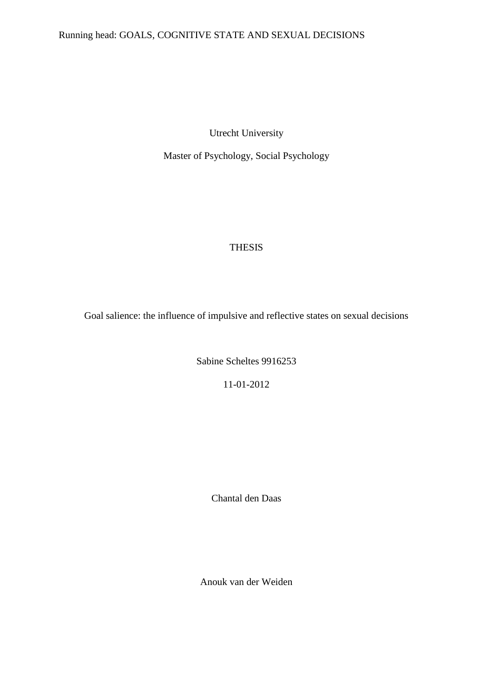# Running head: GOALS, COGNITIVE STATE AND SEXUAL DECISIONS

Utrecht University

Master of Psychology, Social Psychology

# THESIS

Goal salience: the influence of impulsive and reflective states on sexual decisions

Sabine Scheltes 9916253

11-01-2012

Chantal den Daas

Anouk van der Weiden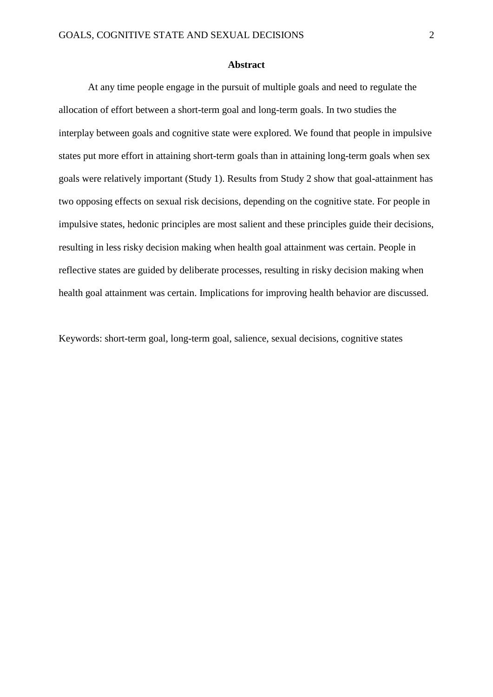#### **Abstract**

At any time people engage in the pursuit of multiple goals and need to regulate the allocation of effort between a short-term goal and long-term goals. In two studies the interplay between goals and cognitive state were explored. We found that people in impulsive states put more effort in attaining short-term goals than in attaining long-term goals when sex goals were relatively important (Study 1). Results from Study 2 show that goal-attainment has two opposing effects on sexual risk decisions, depending on the cognitive state. For people in impulsive states, hedonic principles are most salient and these principles guide their decisions, resulting in less risky decision making when health goal attainment was certain. People in reflective states are guided by deliberate processes, resulting in risky decision making when health goal attainment was certain. Implications for improving health behavior are discussed.

Keywords: short-term goal, long-term goal, salience, sexual decisions, cognitive states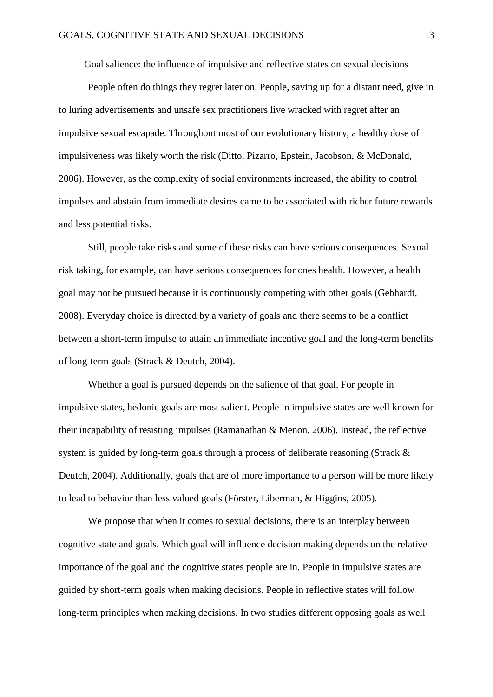Goal salience: the influence of impulsive and reflective states on sexual decisions

People often do things they regret later on. People, saving up for a distant need, give in to luring advertisements and unsafe sex practitioners live wracked with regret after an impulsive sexual escapade. Throughout most of our evolutionary history, a healthy dose of impulsiveness was likely worth the risk (Ditto, Pizarro, Epstein, Jacobson, & McDonald, 2006). However, as the complexity of social environments increased, the ability to control impulses and abstain from immediate desires came to be associated with richer future rewards and less potential risks.

Still, people take risks and some of these risks can have serious consequences. Sexual risk taking, for example, can have serious consequences for ones health. However, a health goal may not be pursued because it is continuously competing with other goals (Gebhardt, 2008). Everyday choice is directed by a variety of goals and there seems to be a conflict between a short-term impulse to attain an immediate incentive goal and the long-term benefits of long-term goals (Strack & Deutch, 2004).

Whether a goal is pursued depends on the salience of that goal. For people in impulsive states, hedonic goals are most salient. People in impulsive states are well known for their incapability of resisting impulses (Ramanathan & Menon, 2006). Instead, the reflective system is guided by long-term goals through a process of deliberate reasoning (Strack & Deutch, 2004). Additionally, goals that are of more importance to a person will be more likely to lead to behavior than less valued goals (Förster, Liberman, & Higgins, 2005).

We propose that when it comes to sexual decisions, there is an interplay between cognitive state and goals. Which goal will influence decision making depends on the relative importance of the goal and the cognitive states people are in. People in impulsive states are guided by short-term goals when making decisions. People in reflective states will follow long-term principles when making decisions. In two studies different opposing goals as well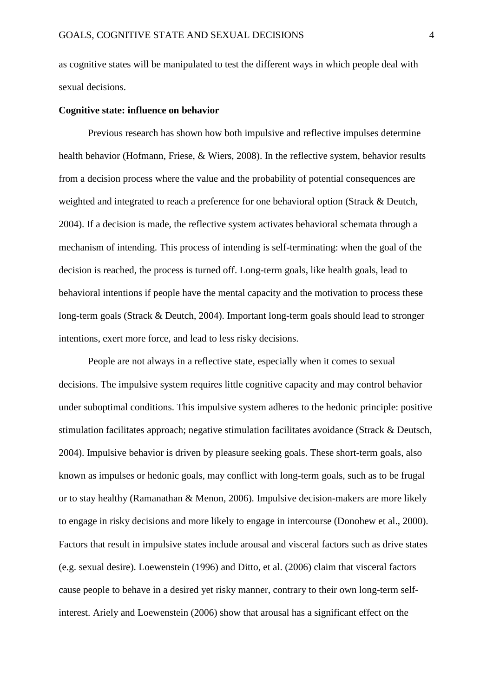as cognitive states will be manipulated to test the different ways in which people deal with sexual decisions.

#### **Cognitive state: influence on behavior**

Previous research has shown how both impulsive and reflective impulses determine health behavior (Hofmann, Friese, & Wiers, 2008). In the reflective system, behavior results from a decision process where the value and the probability of potential consequences are weighted and integrated to reach a preference for one behavioral option (Strack & Deutch, 2004). If a decision is made, the reflective system activates behavioral schemata through a mechanism of intending. This process of intending is self-terminating: when the goal of the decision is reached, the process is turned off. Long-term goals, like health goals, lead to behavioral intentions if people have the mental capacity and the motivation to process these long-term goals (Strack & Deutch, 2004). Important long-term goals should lead to stronger intentions, exert more force, and lead to less risky decisions.

People are not always in a reflective state, especially when it comes to sexual decisions. The impulsive system requires little cognitive capacity and may control behavior under suboptimal conditions. This impulsive system adheres to the hedonic principle: positive stimulation facilitates approach; negative stimulation facilitates avoidance (Strack & Deutsch, 2004). Impulsive behavior is driven by pleasure seeking goals. These short-term goals, also known as impulses or hedonic goals, may conflict with long-term goals, such as to be frugal or to stay healthy (Ramanathan & Menon, 2006). Impulsive decision-makers are more likely to engage in risky decisions and more likely to engage in intercourse (Donohew et al., 2000). Factors that result in impulsive states include arousal and visceral factors such as drive states (e.g. sexual desire). Loewenstein (1996) and Ditto, et al. (2006) claim that visceral factors cause people to behave in a desired yet risky manner, contrary to their own long-term selfinterest. Ariely and Loewenstein (2006) show that arousal has a significant effect on the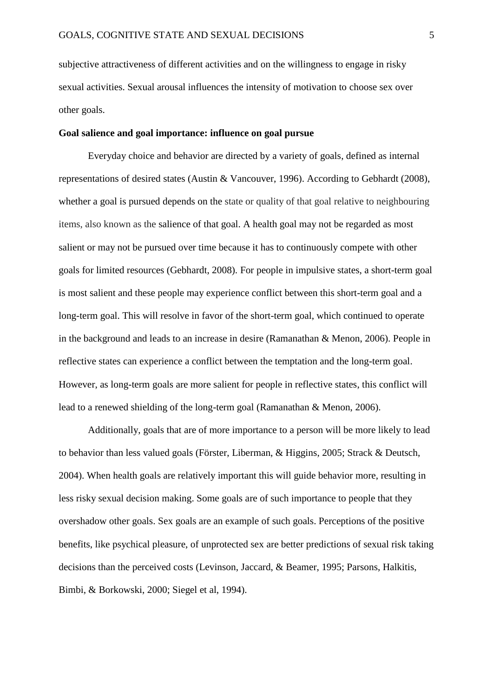subjective attractiveness of different activities and on the willingness to engage in risky sexual activities. Sexual arousal influences the intensity of motivation to choose sex over other goals.

### **Goal salience and goal importance: influence on goal pursue**

Everyday choice and behavior are directed by a variety of goals, defined as internal representations of desired states (Austin & Vancouver, 1996). According to Gebhardt (2008), whether a goal is pursued depends on the state or quality of that goal relative to neighbouring items, also known as the salience of that goal. A health goal may not be regarded as most salient or may not be pursued over time because it has to continuously compete with other goals for limited resources (Gebhardt, 2008). For people in impulsive states, a short-term goal is most salient and these people may experience conflict between this short-term goal and a long-term goal. This will resolve in favor of the short-term goal, which continued to operate in the background and leads to an increase in desire (Ramanathan & Menon, 2006). People in reflective states can experience a conflict between the temptation and the long-term goal. However, as long-term goals are more salient for people in reflective states, this conflict will lead to a renewed shielding of the long-term goal (Ramanathan & Menon, 2006).

Additionally, goals that are of more importance to a person will be more likely to lead to behavior than less valued goals (Förster, Liberman, & Higgins, 2005; Strack & Deutsch, 2004). When health goals are relatively important this will guide behavior more, resulting in less risky sexual decision making. Some goals are of such importance to people that they overshadow other goals. Sex goals are an example of such goals. Perceptions of the positive benefits, like psychical pleasure, of unprotected sex are better predictions of sexual risk taking decisions than the perceived costs (Levinson, Jaccard, & Beamer, 1995; Parsons, Halkitis, Bimbi, & Borkowski, 2000; Siegel et al, 1994).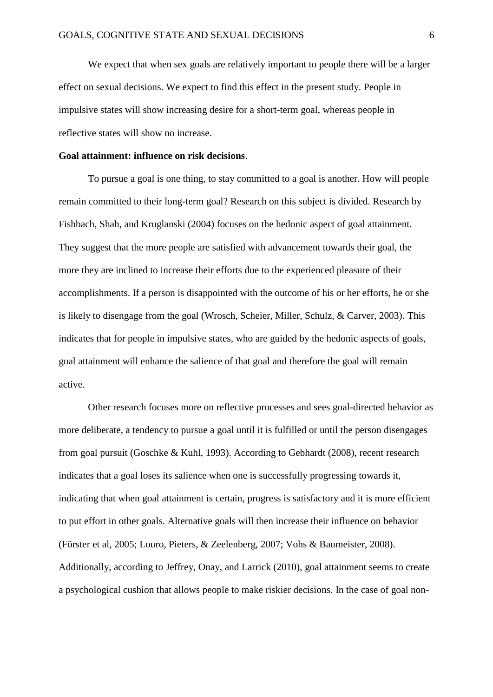We expect that when sex goals are relatively important to people there will be a larger effect on sexual decisions. We expect to find this effect in the present study. People in impulsive states will show increasing desire for a short-term goal, whereas people in reflective states will show no increase.

#### **Goal attainment: influence on risk decisions**.

To pursue a goal is one thing, to stay committed to a goal is another. How will people remain committed to their long-term goal? Research on this subject is divided. Research by Fishbach, Shah, and Kruglanski (2004) focuses on the hedonic aspect of goal attainment. They suggest that the more people are satisfied with advancement towards their goal, the more they are inclined to increase their efforts due to the experienced pleasure of their accomplishments. If a person is disappointed with the outcome of his or her efforts, he or she is likely to disengage from the goal (Wrosch, Scheier, Miller, Schulz, & Carver, 2003). This indicates that for people in impulsive states, who are guided by the hedonic aspects of goals, goal attainment will enhance the salience of that goal and therefore the goal will remain active.

Other research focuses more on reflective processes and sees goal-directed behavior as more deliberate, a tendency to pursue a goal until it is fulfilled or until the person disengages from goal pursuit (Goschke & Kuhl, 1993). According to Gebhardt (2008), recent research indicates that a goal loses its salience when one is successfully progressing towards it, indicating that when goal attainment is certain, progress is satisfactory and it is more efficient to put effort in other goals. Alternative goals will then increase their influence on behavior (Förster et al, 2005; Louro, Pieters, & Zeelenberg, 2007; Vohs & Baumeister, 2008). Additionally, according to Jeffrey, Onay, and Larrick (2010), goal attainment seems to create a psychological cushion that allows people to make riskier decisions. In the case of goal non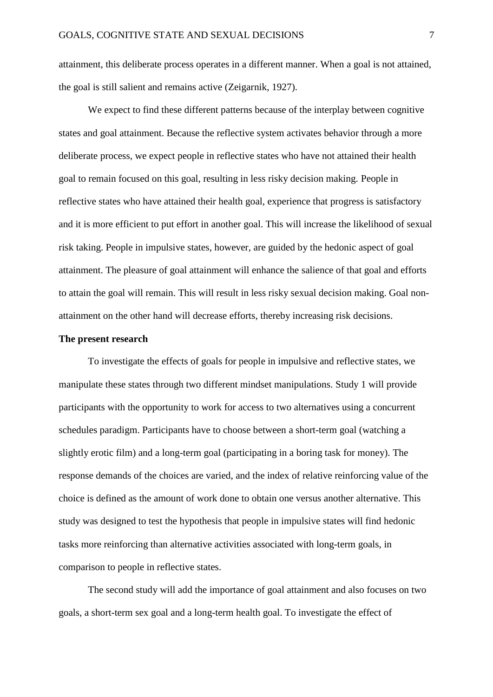attainment, this deliberate process operates in a different manner. When a goal is not attained, the goal is still salient and remains active (Zeigarnik, 1927).

We expect to find these different patterns because of the interplay between cognitive states and goal attainment. Because the reflective system activates behavior through a more deliberate process, we expect people in reflective states who have not attained their health goal to remain focused on this goal, resulting in less risky decision making. People in reflective states who have attained their health goal, experience that progress is satisfactory and it is more efficient to put effort in another goal. This will increase the likelihood of sexual risk taking. People in impulsive states, however, are guided by the hedonic aspect of goal attainment. The pleasure of goal attainment will enhance the salience of that goal and efforts to attain the goal will remain. This will result in less risky sexual decision making. Goal nonattainment on the other hand will decrease efforts, thereby increasing risk decisions.

#### **The present research**

To investigate the effects of goals for people in impulsive and reflective states, we manipulate these states through two different mindset manipulations. Study 1 will provide participants with the opportunity to work for access to two alternatives using a concurrent schedules paradigm. Participants have to choose between a short-term goal (watching a slightly erotic film) and a long-term goal (participating in a boring task for money). The response demands of the choices are varied, and the index of relative reinforcing value of the choice is defined as the amount of work done to obtain one versus another alternative. This study was designed to test the hypothesis that people in impulsive states will find hedonic tasks more reinforcing than alternative activities associated with long-term goals, in comparison to people in reflective states.

The second study will add the importance of goal attainment and also focuses on two goals, a short-term sex goal and a long-term health goal. To investigate the effect of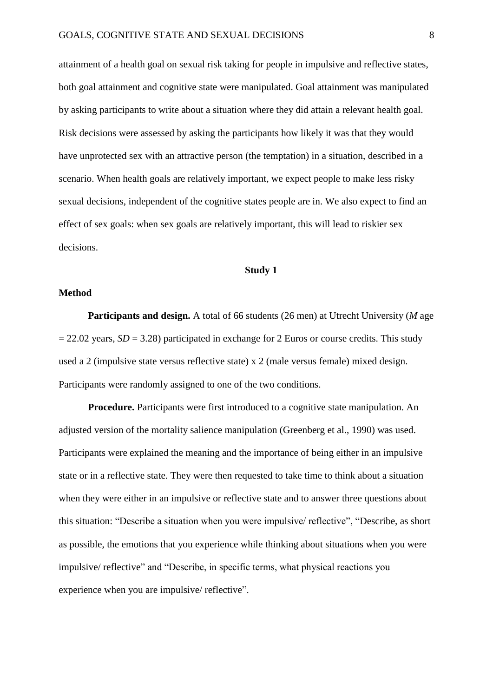attainment of a health goal on sexual risk taking for people in impulsive and reflective states, both goal attainment and cognitive state were manipulated. Goal attainment was manipulated by asking participants to write about a situation where they did attain a relevant health goal. Risk decisions were assessed by asking the participants how likely it was that they would have unprotected sex with an attractive person (the temptation) in a situation, described in a scenario. When health goals are relatively important, we expect people to make less risky sexual decisions, independent of the cognitive states people are in. We also expect to find an effect of sex goals: when sex goals are relatively important, this will lead to riskier sex decisions.

# **Study 1**

#### **Method**

**Participants and design.** A total of 66 students (26 men) at Utrecht University (*M* age  $= 22.02$  years,  $SD = 3.28$ ) participated in exchange for 2 Euros or course credits. This study used a 2 (impulsive state versus reflective state) x 2 (male versus female) mixed design. Participants were randomly assigned to one of the two conditions.

**Procedure.** Participants were first introduced to a cognitive state manipulation. An adjusted version of the mortality salience manipulation (Greenberg et al., 1990) was used. Participants were explained the meaning and the importance of being either in an impulsive state or in a reflective state. They were then requested to take time to think about a situation when they were either in an impulsive or reflective state and to answer three questions about this situation: "Describe a situation when you were impulsive/ reflective", "Describe, as short as possible, the emotions that you experience while thinking about situations when you were impulsive/ reflective" and "Describe, in specific terms, what physical reactions you experience when you are impulsive/ reflective".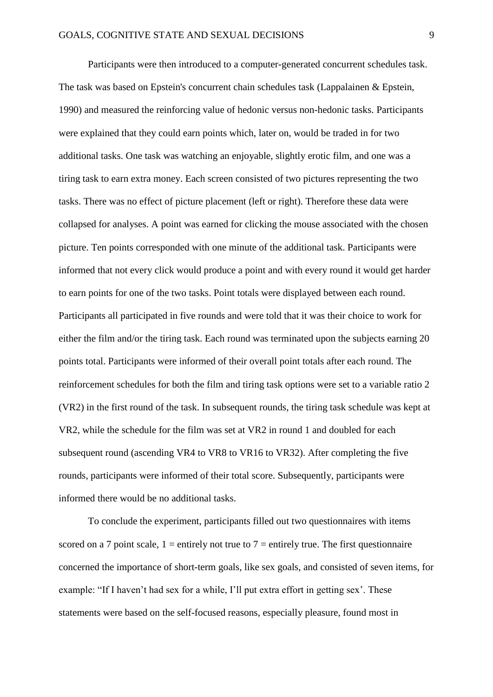Participants were then introduced to a computer-generated concurrent schedules task. The task was based on Epstein's concurrent chain schedules task (Lappalainen & Epstein, 1990) and measured the reinforcing value of hedonic versus non-hedonic tasks. Participants were explained that they could earn points which, later on, would be traded in for two additional tasks. One task was watching an enjoyable, slightly erotic film, and one was a tiring task to earn extra money. Each screen consisted of two pictures representing the two tasks. There was no effect of picture placement (left or right). Therefore these data were collapsed for analyses. A point was earned for clicking the mouse associated with the chosen picture. Ten points corresponded with one minute of the additional task. Participants were informed that not every click would produce a point and with every round it would get harder to earn points for one of the two tasks. Point totals were displayed between each round. Participants all participated in five rounds and were told that it was their choice to work for either the film and/or the tiring task. Each round was terminated upon the subjects earning 20 points total. Participants were informed of their overall point totals after each round. The reinforcement schedules for both the film and tiring task options were set to a variable ratio 2 (VR2) in the first round of the task. In subsequent rounds, the tiring task schedule was kept at VR2, while the schedule for the film was set at VR2 in round 1 and doubled for each subsequent round (ascending VR4 to VR8 to VR16 to VR32). After completing the five rounds, participants were informed of their total score. Subsequently, participants were informed there would be no additional tasks.

To conclude the experiment, participants filled out two questionnaires with items scored on a 7 point scale,  $1 =$  entirely not true to 7 = entirely true. The first questionnaire concerned the importance of short-term goals, like sex goals, and consisted of seven items, for example: "If I haven't had sex for a while, I'll put extra effort in getting sex'. These statements were based on the self-focused reasons, especially pleasure, found most in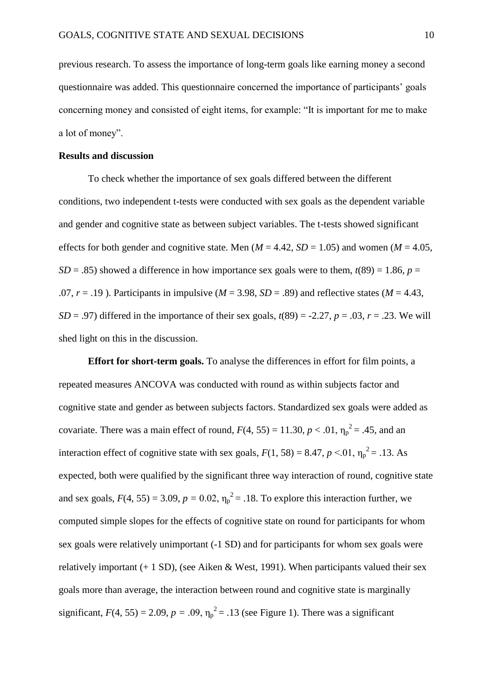previous research. To assess the importance of long-term goals like earning money a second questionnaire was added. This questionnaire concerned the importance of participants' goals concerning money and consisted of eight items, for example: "It is important for me to make a lot of money".

#### **Results and discussion**

To check whether the importance of sex goals differed between the different conditions, two independent t-tests were conducted with sex goals as the dependent variable and gender and cognitive state as between subject variables. The t-tests showed significant effects for both gender and cognitive state. Men ( $M = 4.42$ ,  $SD = 1.05$ ) and women ( $M = 4.05$ , *SD* = .85) showed a difference in how importance sex goals were to them,  $t(89) = 1.86$ ,  $p =$ .07,  $r = .19$ ). Participants in impulsive ( $M = 3.98$ ,  $SD = .89$ ) and reflective states ( $M = 4.43$ , *SD* = .97) differed in the importance of their sex goals,  $t(89) = -2.27$ ,  $p = .03$ ,  $r = .23$ . We will shed light on this in the discussion.

**Effort for short-term goals.** To analyse the differences in effort for film points, a repeated measures ANCOVA was conducted with round as within subjects factor and cognitive state and gender as between subjects factors. Standardized sex goals were added as covariate. There was a main effect of round,  $F(4, 55) = 11.30, p < .01, \eta_p^2 = .45$ , and an interaction effect of cognitive state with sex goals,  $F(1, 58) = 8.47$ ,  $p < 0.01$ ,  $\eta_p^2 = 0.13$ . As expected, both were qualified by the significant three way interaction of round, cognitive state and sex goals,  $F(4, 55) = 3.09$ ,  $p = 0.02$ ,  $\eta_p^2 = 0.18$ . To explore this interaction further, we computed simple slopes for the effects of cognitive state on round for participants for whom sex goals were relatively unimportant (-1 SD) and for participants for whom sex goals were relatively important  $(+ 1 S D)$ , (see Aiken & West, 1991). When participants valued their sex goals more than average, the interaction between round and cognitive state is marginally significant,  $F(4, 55) = 2.09$ ,  $p = .09$ ,  $\eta_p^2 = .13$  (see Figure 1). There was a significant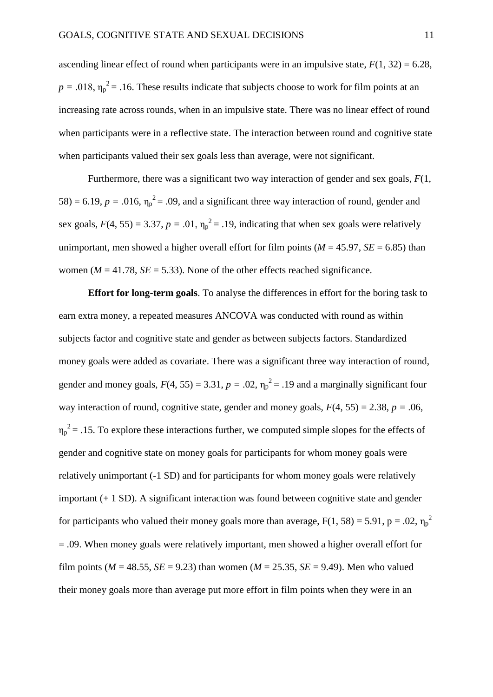ascending linear effect of round when participants were in an impulsive state,  $F(1, 32) = 6.28$ ,  $p = .018$ ,  $\eta_p^2 = .16$ . These results indicate that subjects choose to work for film points at an increasing rate across rounds, when in an impulsive state. There was no linear effect of round when participants were in a reflective state. The interaction between round and cognitive state when participants valued their sex goals less than average, were not significant.

Furthermore, there was a significant two way interaction of gender and sex goals, *F*(1, 58) = 6.19,  $p = .016$ ,  $\eta_p^2 = .09$ , and a significant three way interaction of round, gender and sex goals,  $F(4, 55) = 3.37$ ,  $p = .01$ ,  $\eta_p^2 = .19$ , indicating that when sex goals were relatively unimportant, men showed a higher overall effort for film points ( $M = 45.97$ ,  $SE = 6.85$ ) than women ( $M = 41.78$ ,  $SE = 5.33$ ). None of the other effects reached significance.

**Effort for long-term goals**. To analyse the differences in effort for the boring task to earn extra money, a repeated measures ANCOVA was conducted with round as within subjects factor and cognitive state and gender as between subjects factors. Standardized money goals were added as covariate. There was a significant three way interaction of round, gender and money goals,  $F(4, 55) = 3.31$ ,  $p = .02$ ,  $\eta_p^2 = .19$  and a marginally significant four way interaction of round, cognitive state, gender and money goals,  $F(4, 55) = 2.38$ ,  $p = .06$ ,  $\eta_p^2$  = .15. To explore these interactions further, we computed simple slopes for the effects of gender and cognitive state on money goals for participants for whom money goals were relatively unimportant (-1 SD) and for participants for whom money goals were relatively important (+ 1 SD). A significant interaction was found between cognitive state and gender for participants who valued their money goals more than average,  $F(1, 58) = 5.91$ ,  $p = .02$ ,  $\eta_p^2$ = .09. When money goals were relatively important, men showed a higher overall effort for film points ( $M = 48.55$ ,  $SE = 9.23$ ) than women ( $M = 25.35$ ,  $SE = 9.49$ ). Men who valued their money goals more than average put more effort in film points when they were in an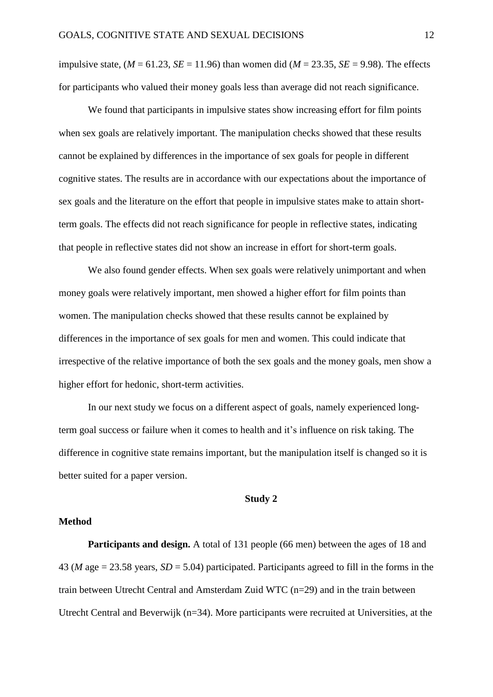impulsive state,  $(M = 61.23, SE = 11.96)$  than women did  $(M = 23.35, SE = 9.98)$ . The effects for participants who valued their money goals less than average did not reach significance.

We found that participants in impulsive states show increasing effort for film points when sex goals are relatively important. The manipulation checks showed that these results cannot be explained by differences in the importance of sex goals for people in different cognitive states. The results are in accordance with our expectations about the importance of sex goals and the literature on the effort that people in impulsive states make to attain shortterm goals. The effects did not reach significance for people in reflective states, indicating that people in reflective states did not show an increase in effort for short-term goals.

We also found gender effects. When sex goals were relatively unimportant and when money goals were relatively important, men showed a higher effort for film points than women. The manipulation checks showed that these results cannot be explained by differences in the importance of sex goals for men and women. This could indicate that irrespective of the relative importance of both the sex goals and the money goals, men show a higher effort for hedonic, short-term activities.

In our next study we focus on a different aspect of goals, namely experienced longterm goal success or failure when it comes to health and it's influence on risk taking. The difference in cognitive state remains important, but the manipulation itself is changed so it is better suited for a paper version.

#### **Study 2**

# **Method**

**Participants and design.** A total of 131 people (66 men) between the ages of 18 and 43 (*M* age = 23.58 years, *SD* = 5.04) participated. Participants agreed to fill in the forms in the train between Utrecht Central and Amsterdam Zuid WTC (n=29) and in the train between Utrecht Central and Beverwijk (n=34). More participants were recruited at Universities, at the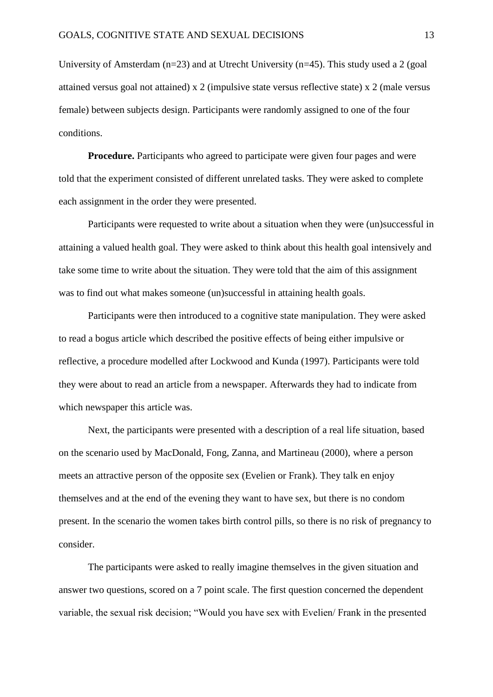University of Amsterdam (n=23) and at Utrecht University (n=45). This study used a 2 (goal attained versus goal not attained) x 2 (impulsive state versus reflective state) x 2 (male versus female) between subjects design. Participants were randomly assigned to one of the four conditions.

**Procedure.** Participants who agreed to participate were given four pages and were told that the experiment consisted of different unrelated tasks. They were asked to complete each assignment in the order they were presented.

Participants were requested to write about a situation when they were (un)successful in attaining a valued health goal. They were asked to think about this health goal intensively and take some time to write about the situation. They were told that the aim of this assignment was to find out what makes someone (un)successful in attaining health goals.

Participants were then introduced to a cognitive state manipulation. They were asked to read a bogus article which described the positive effects of being either impulsive or reflective, a procedure modelled after Lockwood and Kunda (1997). Participants were told they were about to read an article from a newspaper. Afterwards they had to indicate from which newspaper this article was.

Next, the participants were presented with a description of a real life situation, based on the scenario used by MacDonald, Fong, Zanna, and Martineau (2000), where a person meets an attractive person of the opposite sex (Evelien or Frank). They talk en enjoy themselves and at the end of the evening they want to have sex, but there is no condom present. In the scenario the women takes birth control pills, so there is no risk of pregnancy to consider.

The participants were asked to really imagine themselves in the given situation and answer two questions, scored on a 7 point scale. The first question concerned the dependent variable, the sexual risk decision; "Would you have sex with Evelien/ Frank in the presented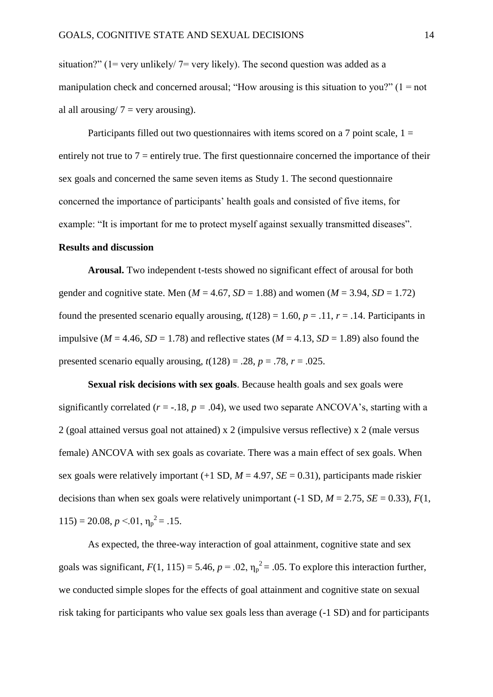situation?" ( $1 = \text{very unlikely} / 7 = \text{very likely}$ ). The second question was added as a manipulation check and concerned arousal; "How arousing is this situation to you?"  $(1 = not$ al all arousing/  $7 =$  very arousing).

Participants filled out two questionnaires with items scored on a 7 point scale,  $1 =$ entirely not true to  $7$  = entirely true. The first questionnaire concerned the importance of their sex goals and concerned the same seven items as Study 1. The second questionnaire concerned the importance of participants' health goals and consisted of five items, for example: "It is important for me to protect myself against sexually transmitted diseases". **Results and discussion**

**Arousal.** Two independent t-tests showed no significant effect of arousal for both gender and cognitive state. Men ( $M = 4.67$ ,  $SD = 1.88$ ) and women ( $M = 3.94$ ,  $SD = 1.72$ ) found the presented scenario equally arousing,  $t(128) = 1.60$ ,  $p = .11$ ,  $r = .14$ . Participants in impulsive ( $M = 4.46$ ,  $SD = 1.78$ ) and reflective states ( $M = 4.13$ ,  $SD = 1.89$ ) also found the presented scenario equally arousing,  $t(128) = .28$ ,  $p = .78$ ,  $r = .025$ .

**Sexual risk decisions with sex goals**. Because health goals and sex goals were significantly correlated ( $r = -18$ ,  $p = .04$ ), we used two separate ANCOVA's, starting with a 2 (goal attained versus goal not attained) x 2 (impulsive versus reflective) x 2 (male versus female) ANCOVA with sex goals as covariate. There was a main effect of sex goals. When sex goals were relatively important  $(+1 S D, M = 4.97, SE = 0.31)$ , participants made riskier decisions than when sex goals were relatively unimportant  $(-1 SD, M = 2.75, SE = 0.33), F(1,$  $115$ ) = 20.08,  $p < 01$ ,  $\eta_p^2$  = .15.

As expected, the three-way interaction of goal attainment, cognitive state and sex goals was significant,  $F(1, 115) = 5.46$ ,  $p = .02$ ,  $\eta_p^2 = .05$ . To explore this interaction further, we conducted simple slopes for the effects of goal attainment and cognitive state on sexual risk taking for participants who value sex goals less than average (-1 SD) and for participants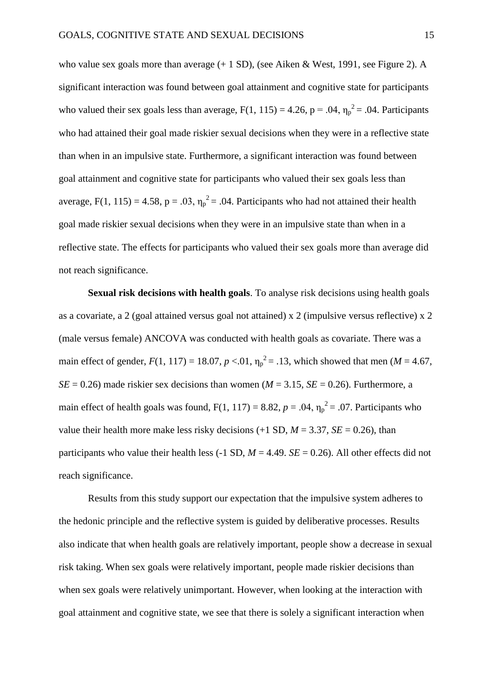who value sex goals more than average  $(+ 1 S D)$ , (see Aiken & West, 1991, see Figure 2). A significant interaction was found between goal attainment and cognitive state for participants who valued their sex goals less than average,  $F(1, 115) = 4.26$ ,  $p = .04$ ,  $\eta_p^2 = .04$ . Participants who had attained their goal made riskier sexual decisions when they were in a reflective state than when in an impulsive state. Furthermore, a significant interaction was found between goal attainment and cognitive state for participants who valued their sex goals less than average, F(1, 115) = 4.58, p = .03,  $\eta_p^2$  = .04. Participants who had not attained their health goal made riskier sexual decisions when they were in an impulsive state than when in a reflective state. The effects for participants who valued their sex goals more than average did not reach significance.

**Sexual risk decisions with health goals**. To analyse risk decisions using health goals as a covariate, a 2 (goal attained versus goal not attained) x 2 (impulsive versus reflective) x 2 (male versus female) ANCOVA was conducted with health goals as covariate. There was a main effect of gender,  $F(1, 117) = 18.07$ ,  $p < 0.01$ ,  $\eta_p^2 = 0.13$ , which showed that men (*M* = 4.67,  $SE = 0.26$ ) made riskier sex decisions than women ( $M = 3.15$ ,  $SE = 0.26$ ). Furthermore, a main effect of health goals was found,  $F(1, 117) = 8.82$ ,  $p = .04$ ,  $\eta_p^2 = .07$ . Participants who value their health more make less risky decisions  $(+1 S D, M = 3.37, SE = 0.26)$ , than participants who value their health less  $(-1 SD, M = 4.49, SE = 0.26)$ . All other effects did not reach significance.

Results from this study support our expectation that the impulsive system adheres to the hedonic principle and the reflective system is guided by deliberative processes. Results also indicate that when health goals are relatively important, people show a decrease in sexual risk taking. When sex goals were relatively important, people made riskier decisions than when sex goals were relatively unimportant. However, when looking at the interaction with goal attainment and cognitive state, we see that there is solely a significant interaction when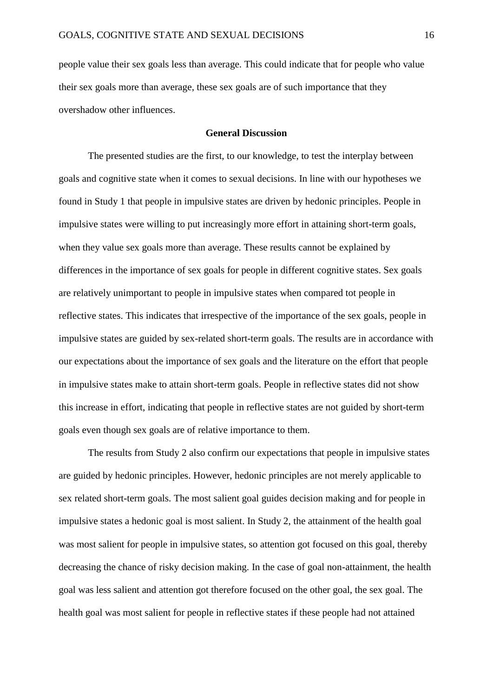people value their sex goals less than average. This could indicate that for people who value their sex goals more than average, these sex goals are of such importance that they overshadow other influences.

# **General Discussion**

The presented studies are the first, to our knowledge, to test the interplay between goals and cognitive state when it comes to sexual decisions. In line with our hypotheses we found in Study 1 that people in impulsive states are driven by hedonic principles. People in impulsive states were willing to put increasingly more effort in attaining short-term goals, when they value sex goals more than average. These results cannot be explained by differences in the importance of sex goals for people in different cognitive states. Sex goals are relatively unimportant to people in impulsive states when compared tot people in reflective states. This indicates that irrespective of the importance of the sex goals, people in impulsive states are guided by sex-related short-term goals. The results are in accordance with our expectations about the importance of sex goals and the literature on the effort that people in impulsive states make to attain short-term goals. People in reflective states did not show this increase in effort, indicating that people in reflective states are not guided by short-term goals even though sex goals are of relative importance to them.

The results from Study 2 also confirm our expectations that people in impulsive states are guided by hedonic principles. However, hedonic principles are not merely applicable to sex related short-term goals. The most salient goal guides decision making and for people in impulsive states a hedonic goal is most salient. In Study 2, the attainment of the health goal was most salient for people in impulsive states, so attention got focused on this goal, thereby decreasing the chance of risky decision making. In the case of goal non-attainment, the health goal was less salient and attention got therefore focused on the other goal, the sex goal. The health goal was most salient for people in reflective states if these people had not attained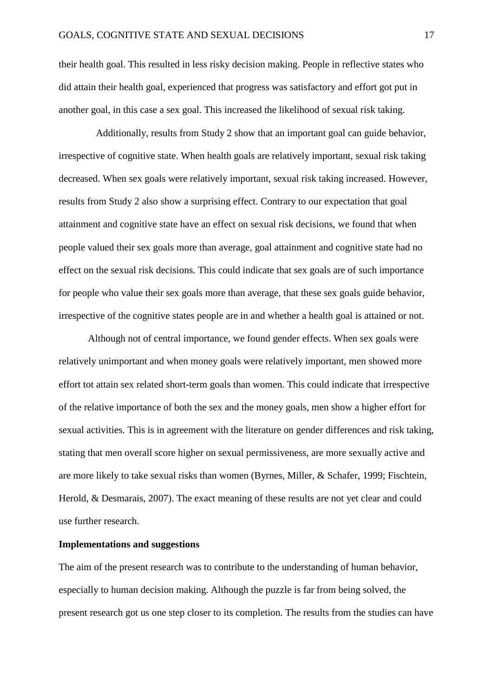their health goal. This resulted in less risky decision making. People in reflective states who did attain their health goal, experienced that progress was satisfactory and effort got put in another goal, in this case a sex goal. This increased the likelihood of sexual risk taking.

Additionally, results from Study 2 show that an important goal can guide behavior, irrespective of cognitive state. When health goals are relatively important, sexual risk taking decreased. When sex goals were relatively important, sexual risk taking increased. However, results from Study 2 also show a surprising effect. Contrary to our expectation that goal attainment and cognitive state have an effect on sexual risk decisions, we found that when people valued their sex goals more than average, goal attainment and cognitive state had no effect on the sexual risk decisions. This could indicate that sex goals are of such importance for people who value their sex goals more than average, that these sex goals guide behavior, irrespective of the cognitive states people are in and whether a health goal is attained or not.

Although not of central importance, we found gender effects. When sex goals were relatively unimportant and when money goals were relatively important, men showed more effort tot attain sex related short-term goals than women. This could indicate that irrespective of the relative importance of both the sex and the money goals, men show a higher effort for sexual activities. This is in agreement with the literature on gender differences and risk taking, stating that men overall score higher on sexual permissiveness, are more sexually active and are more likely to take sexual risks than women (Byrnes, Miller, & Schafer, 1999; Fischtein, Herold, & Desmarais, 2007). The exact meaning of these results are not yet clear and could use further research.

#### **Implementations and suggestions**

The aim of the present research was to contribute to the understanding of human behavior, especially to human decision making. Although the puzzle is far from being solved, the present research got us one step closer to its completion. The results from the studies can have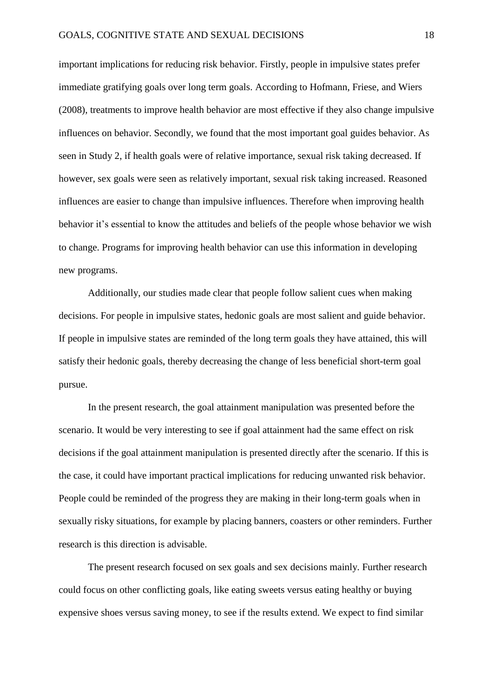important implications for reducing risk behavior. Firstly, people in impulsive states prefer immediate gratifying goals over long term goals. According to Hofmann, Friese, and Wiers (2008), treatments to improve health behavior are most effective if they also change impulsive influences on behavior. Secondly, we found that the most important goal guides behavior. As seen in Study 2, if health goals were of relative importance, sexual risk taking decreased. If however, sex goals were seen as relatively important, sexual risk taking increased. Reasoned influences are easier to change than impulsive influences. Therefore when improving health behavior it's essential to know the attitudes and beliefs of the people whose behavior we wish to change. Programs for improving health behavior can use this information in developing new programs.

Additionally, our studies made clear that people follow salient cues when making decisions. For people in impulsive states, hedonic goals are most salient and guide behavior. If people in impulsive states are reminded of the long term goals they have attained, this will satisfy their hedonic goals, thereby decreasing the change of less beneficial short-term goal pursue.

In the present research, the goal attainment manipulation was presented before the scenario. It would be very interesting to see if goal attainment had the same effect on risk decisions if the goal attainment manipulation is presented directly after the scenario. If this is the case, it could have important practical implications for reducing unwanted risk behavior. People could be reminded of the progress they are making in their long-term goals when in sexually risky situations, for example by placing banners, coasters or other reminders. Further research is this direction is advisable.

The present research focused on sex goals and sex decisions mainly. Further research could focus on other conflicting goals, like eating sweets versus eating healthy or buying expensive shoes versus saving money, to see if the results extend. We expect to find similar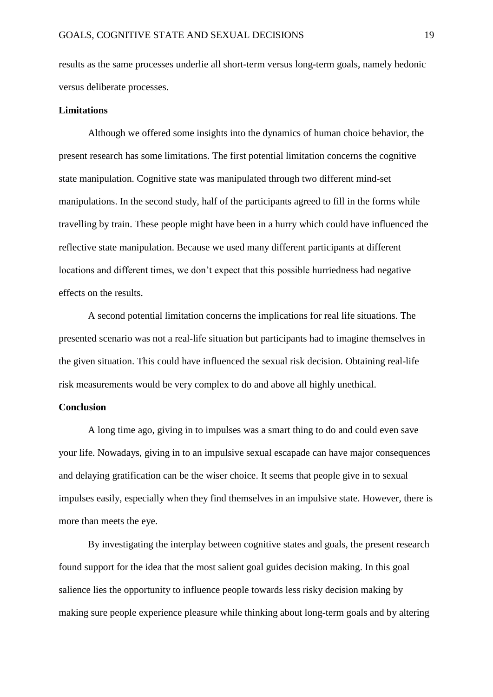results as the same processes underlie all short-term versus long-term goals, namely hedonic versus deliberate processes.

### **Limitations**

Although we offered some insights into the dynamics of human choice behavior, the present research has some limitations. The first potential limitation concerns the cognitive state manipulation. Cognitive state was manipulated through two different mind-set manipulations. In the second study, half of the participants agreed to fill in the forms while travelling by train. These people might have been in a hurry which could have influenced the reflective state manipulation. Because we used many different participants at different locations and different times, we don't expect that this possible hurriedness had negative effects on the results.

A second potential limitation concerns the implications for real life situations. The presented scenario was not a real-life situation but participants had to imagine themselves in the given situation. This could have influenced the sexual risk decision. Obtaining real-life risk measurements would be very complex to do and above all highly unethical.

# **Conclusion**

A long time ago, giving in to impulses was a smart thing to do and could even save your life. Nowadays, giving in to an impulsive sexual escapade can have major consequences and delaying gratification can be the wiser choice. It seems that people give in to sexual impulses easily, especially when they find themselves in an impulsive state. However, there is more than meets the eye.

By investigating the interplay between cognitive states and goals, the present research found support for the idea that the most salient goal guides decision making. In this goal salience lies the opportunity to influence people towards less risky decision making by making sure people experience pleasure while thinking about long-term goals and by altering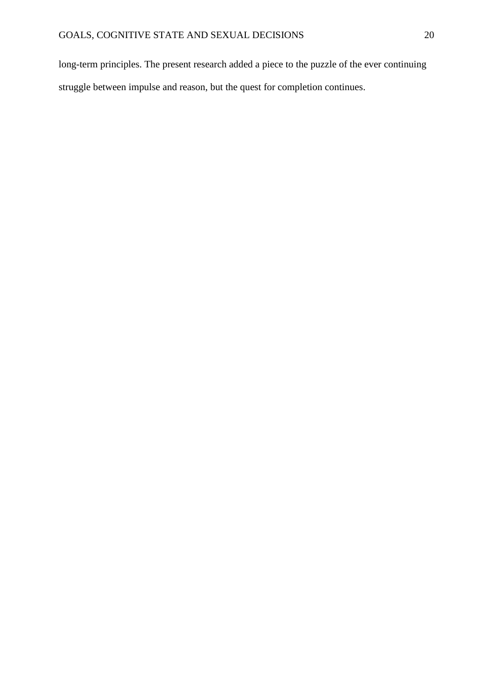long-term principles. The present research added a piece to the puzzle of the ever continuing struggle between impulse and reason, but the quest for completion continues.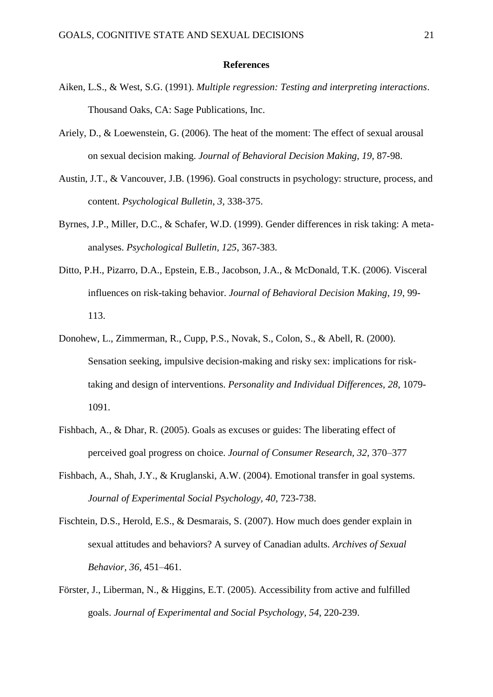#### **References**

- Aiken, L.S., & West, S.G. (1991). *Multiple regression: Testing and interpreting interactions*. Thousand Oaks, CA: Sage Publications, Inc.
- Ariely, D., & Loewenstein, G. (2006). The heat of the moment: The effect of sexual arousal on sexual decision making. *Journal of Behavioral Decision Making, 19*, 87-98.
- Austin, J.T., & Vancouver, J.B. (1996). Goal constructs in psychology: structure, process, and content. *Psychological Bulletin, 3,* 338-375.
- Byrnes, J.P., Miller, D.C., & Schafer, W.D. (1999). Gender differences in risk taking: A metaanalyses. *Psychological Bulletin, 125*, 367-383.
- Ditto, P.H., Pizarro, D.A., Epstein, E.B., Jacobson, J.A., & McDonald, T.K. (2006). Visceral influences on risk-taking behavior. *Journal of Behavioral Decision Making, 19*, 99- 113.
- Donohew, L., Zimmerman, R., Cupp, P.S., Novak, S., Colon, S., & Abell, R. (2000). Sensation seeking, impulsive decision-making and risky sex: implications for risktaking and design of interventions. *Personality and Individual Differences, 28*, 1079- 1091.
- Fishbach, A., & Dhar, R. (2005). Goals as excuses or guides: The liberating effect of perceived goal progress on choice. *Journal of Consumer Research, 32,* 370–377
- Fishbach, A., Shah, J.Y., & Kruglanski, A.W. (2004). Emotional transfer in goal systems. *Journal of Experimental Social Psychology, 40,* 723-738.
- Fischtein, D.S., Herold, E.S., & Desmarais, S. (2007). How much does gender explain in sexual attitudes and behaviors? A survey of Canadian adults. *Archives of Sexual Behavior, 36,* 451–461.
- Förster, J., Liberman, N., & Higgins, E.T. (2005). Accessibility from active and fulfilled goals. *Journal of Experimental and Social Psychology, 54*, 220-239.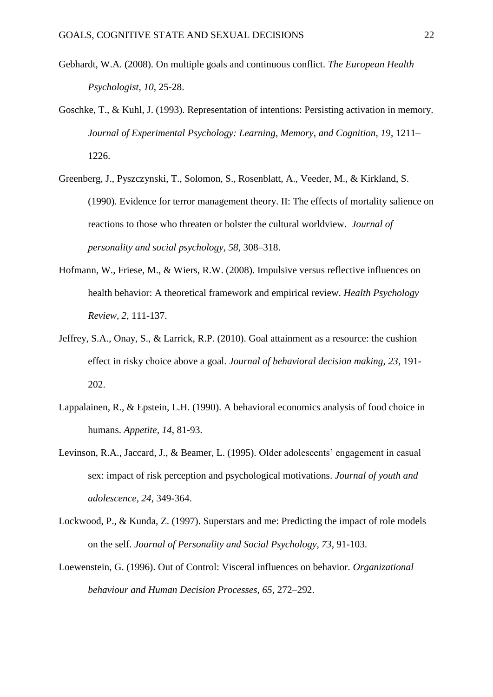- Gebhardt, W.A. (2008). On multiple goals and continuous conflict. *The European Health Psychologist, 10*, 25-28.
- Goschke, T., & Kuhl, J. (1993). Representation of intentions: Persisting activation in memory. *Journal of Experimental Psychology: Learning, Memory, and Cognition, 19*, 1211– 1226.
- Greenberg, J., Pyszczynski, T., Solomon, S., Rosenblatt, A., Veeder, M., & Kirkland, S. (1990). Evidence for terror management theory. II: The effects of mortality salience on reactions to those who threaten or bolster the cultural worldview. *Journal of personality and social psychology, 58,* 308–318.
- Hofmann, W., Friese, M., & Wiers, R.W. (2008). Impulsive versus reflective influences on health behavior: A theoretical framework and empirical review. *Health Psychology Review, 2*, 111-137.
- Jeffrey, S.A., Onay, S., & Larrick, R.P. (2010). Goal attainment as a resource: the cushion effect in risky choice above a goal. *Journal of behavioral decision making, 23*, 191- 202.
- Lappalainen, R., & Epstein, L.H. (1990). A behavioral economics analysis of food choice in humans. *Appetite, 14*, 81-93.
- Levinson, R.A., Jaccard, J., & Beamer, L. (1995). Older adolescents' engagement in casual sex: impact of risk perception and psychological motivations. *Journal of youth and adolescence, 24*, 349-364.
- Lockwood, P., & Kunda, Z. (1997). Superstars and me: Predicting the impact of role models on the self. *Journal of Personality and Social Psychology, 73*, 91-103.
- Loewenstein, G. (1996). Out of Control: Visceral influences on behavior. *Organizational behaviour and Human Decision Processes, 65*, 272–292.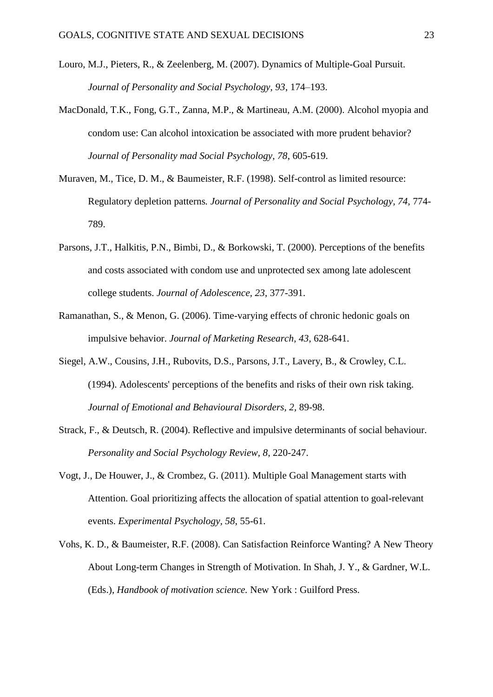- Louro, M.J., Pieters, R., & Zeelenberg, M. (2007). Dynamics of Multiple-Goal Pursuit. *Journal of Personality and Social Psychology, 93*, 174–193.
- MacDonald, T.K., Fong, G.T., Zanna, M.P., & Martineau, A.M. (2000). Alcohol myopia and condom use: Can alcohol intoxication be associated with more prudent behavior? *Journal of Personality mad Social Psychology, 78*, 605-619.
- Muraven, M., Tice, D. M., & Baumeister, R.F. (1998). Self-control as limited resource: Regulatory depletion patterns*. Journal of Personality and Social Psychology, 74,* 774- 789.
- Parsons, J.T., Halkitis, P.N., Bimbi, D., & Borkowski, T. (2000). Perceptions of the benefits and costs associated with condom use and unprotected sex among late adolescent college students. *Journal of Adolescence, 23*, 377-391.
- Ramanathan, S., & Menon, G. (2006). Time-varying effects of chronic hedonic goals on impulsive behavior. *Journal of Marketing Research, 43*, 628-641.
- Siegel, A.W., Cousins, J.H., Rubovits, D.S., Parsons, J.T., Lavery, B., & Crowley, C.L. (1994). Adolescents' perceptions of the benefits and risks of their own risk taking. *Journal of Emotional and Behavioural Disorders, 2,* 89-98.
- Strack, F., & Deutsch, R. (2004). Reflective and impulsive determinants of social behaviour. *Personality and Social Psychology Review, 8*, 220-247.
- Vogt, J., De Houwer, J., & Crombez, G. (2011). Multiple Goal Management starts with Attention. Goal prioritizing affects the allocation of spatial attention to goal-relevant events. *Experimental Psychology, 58*, 55-61.
- Vohs, K. D., & Baumeister, R.F. (2008). Can Satisfaction Reinforce Wanting? A New Theory About Long-term Changes in Strength of Motivation. In Shah, J. Y., & Gardner, W.L. (Eds.), *Handbook of motivation science.* New York : Guilford Press.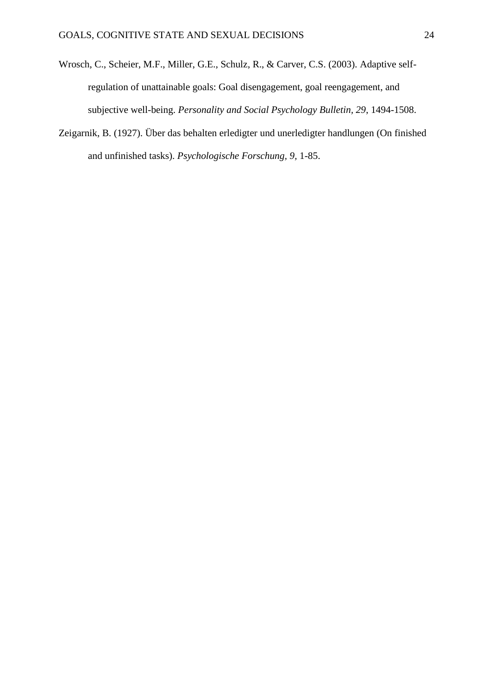- Wrosch, C., Scheier, M.F., Miller, G.E., Schulz, R., & Carver, C.S. (2003). Adaptive selfregulation of unattainable goals: Goal disengagement, goal reengagement, and subjective well-being. *Personality and Social Psychology Bulletin, 29*, 1494-1508.
- Zeigarnik, B. (1927). Über das behalten erledigter und unerledigter handlungen (On finished and unfinished tasks). *Psychologische Forschung, 9,* 1-85.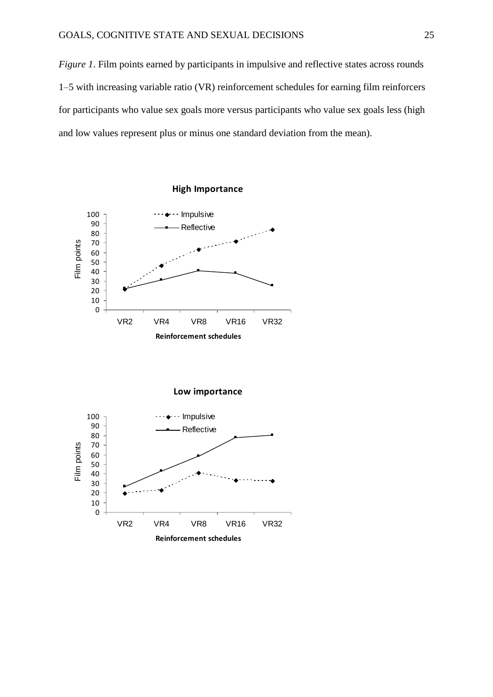*Figure 1*. Film points earned by participants in impulsive and reflective states across rounds 1–5 with increasing variable ratio (VR) reinforcement schedules for earning film reinforcers for participants who value sex goals more versus participants who value sex goals less (high and low values represent plus or minus one standard deviation from the mean).



**Low importance**